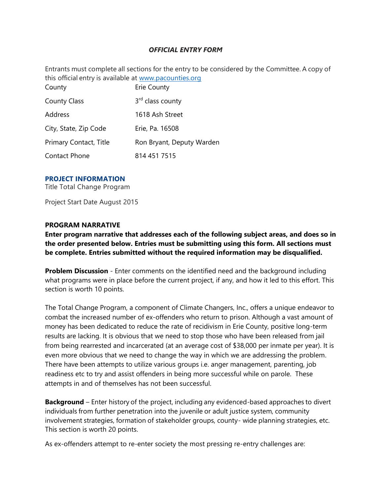# *OFFICIAL ENTRY FORM*

Entrants must complete all sections for the entry to be considered by the Committee. A copy of this official entry is available at [www.pacounties.org](https://www.pacounties.org/)

| County                 | Erie County                  |
|------------------------|------------------------------|
| <b>County Class</b>    | 3 <sup>rd</sup> class county |
| Address                | 1618 Ash Street              |
| City, State, Zip Code  | Erie, Pa. 16508              |
| Primary Contact, Title | Ron Bryant, Deputy Warden    |
| <b>Contact Phone</b>   | 814 451 7515                 |

## **PROJECT INFORMATION**

Title Total Change Program

Project Start Date August 2015

### **PROGRAM NARRATIVE**

**Enter program narrative that addresses each of the following subject areas, and does so in the order presented below. Entries must be submitting using this form. All sections must be complete. Entries submitted without the required information may be disqualified.**

**Problem Discussion** - Enter comments on the identified need and the background including what programs were in place before the current project, if any, and how it led to this effort. This section is worth 10 points.

The Total Change Program, a component of Climate Changers, Inc., offers a unique endeavor to combat the increased number of ex-offenders who return to prison. Although a vast amount of money has been dedicated to reduce the rate of recidivism in Erie County, positive long-term results are lacking. It is obvious that we need to stop those who have been released from jail from being rearrested and incarcerated (at an average cost of \$38,000 per inmate per year). It is even more obvious that we need to change the way in which we are addressing the problem. There have been attempts to utilize various groups i.e. anger management, parenting, job readiness etc to try and assist offenders in being more successful while on parole. These attempts in and of themselves has not been successful.

**Background** – Enter history of the project, including any evidenced-based approaches to divert individuals from further penetration into the juvenile or adult justice system, community involvement strategies, formation of stakeholder groups, county- wide planning strategies, etc. This section is worth 20 points.

As ex-offenders attempt to re-enter society the most pressing re-entry challenges are: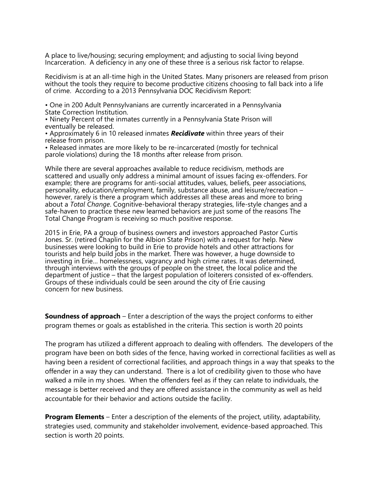A place to live/housing; securing employment; and adjusting to social living beyond Incarceration. A deficiency in any one of these three is a serious risk factor to relapse.

Recidivism is at an all-time high in the United States. Many prisoners are released from prison without the tools they require to become productive citizens choosing to fall back into a life of crime. According to a 2013 Pennsylvania DOC Recidivism Report:

• One in 200 Adult Pennsylvanians are currently incarcerated in a Pennsylvania State Correction Institution.

• Ninety Percent of the inmates currently in a Pennsylvania State Prison will eventually be released.

• Approximately 6 in 10 released inmates *Recidivate* within three years of their release from prison.

• Released inmates are more likely to be re-incarcerated (mostly for technical parole violations) during the 18 months after release from prison.

While there are several approaches available to reduce recidivism, methods are scattered and usually only address a minimal amount of issues facing ex-offenders. For example; there are programs for anti-social attitudes, values, beliefs, peer associations, personality, education/employment, family, substance abuse, and leisure/recreation – however, rarely is there a program which addresses all these areas and more to bring about a *Total Change*. Cognitive-behavioral therapy strategies, life-style changes and a safe-haven to practice these new learned behaviors are just some of the reasons The Total Change Program is receiving so much positive response.

2015 in Erie, PA a group of business owners and investors approached Pastor Curtis Jones. Sr. (retired Chaplin for the Albion State Prison) with a request for help. New businesses were looking to build in Erie to provide hotels and other attractions for tourists and help build jobs in the market. There was however, a huge downside to investing in Erie… homelessness, vagrancy and high crime rates. It was determined, through interviews with the groups of people on the street, the local police and the department of justice – that the largest population of loiterers consisted of ex-offenders. Groups of these individuals could be seen around the city of Erie causing concern for new business.

**Soundness of approach** – Enter a description of the ways the project conforms to either program themes or goals as established in the criteria. This section is worth 20 points

The program has utilized a different approach to dealing with offenders. The developers of the program have been on both sides of the fence, having worked in correctional facilities as well as having been a resident of correctional facilities, and approach things in a way that speaks to the offender in a way they can understand. There is a lot of credibility given to those who have walked a mile in my shoes. When the offenders feel as if they can relate to individuals, the message is better received and they are offered assistance in the community as well as held accountable for their behavior and actions outside the facility.

**Program Elements** – Enter a description of the elements of the project, utility, adaptability, strategies used, community and stakeholder involvement, evidence-based approached. This section is worth 20 points.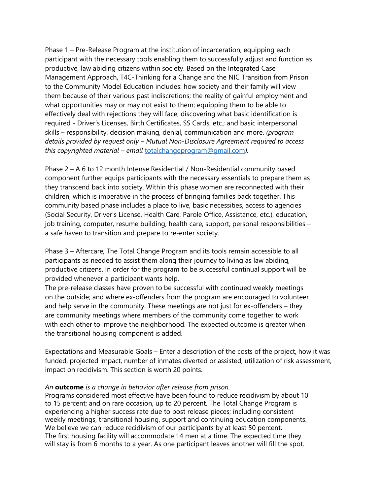Phase 1 – Pre-Release Program at the institution of incarceration; equipping each participant with the necessary tools enabling them to successfully adjust and function as productive, law abiding citizens within society. Based on the Integrated Case Management Approach, T4C-Thinking for a Change and the NIC Transition from Prison to the Community Model Education includes: how society and their family will view them because of their various past indiscretions; the reality of gainful employment and what opportunities may or may not exist to them; equipping them to be able to effectively deal with rejections they will face; discovering what basic identification is required - Driver's Licenses, Birth Certificates, SS Cards, etc.; and basic interpersonal skills – responsibility, decision making, denial, communication and more. *(program details provided by request only – Mutual Non-Disclosure Agreement required to access this copyrighted material – email* [totalchangeprogram@gmail.com](mailto:totalchangeprogram@gmail.com)*).*

Phase 2 – A 6 to 12 month Intense Residential / Non-Residential community based component further equips participants with the necessary essentials to prepare them as they transcend back into society. Within this phase women are reconnected with their children, which is imperative in the process of bringing families back together. This community based phase includes a place to live, basic necessities, access to agencies (Social Security, Driver's License, Health Care, Parole Office, Assistance, etc.), education, job training, computer, resume building, health care, support, personal responsibilities – a safe haven to transition and prepare to re-enter society.

Phase 3 – Aftercare, The Total Change Program and its tools remain accessible to all participants as needed to assist them along their journey to living as law abiding, productive citizens. In order for the program to be successful continual support will be provided whenever a participant wants help.

The pre-release classes have proven to be successful with continued weekly meetings on the outside; and where ex-offenders from the program are encouraged to volunteer and help serve in the community. These meetings are not just for ex-offenders – they are community meetings where members of the community come together to work with each other to improve the neighborhood. The expected outcome is greater when the transitional housing component is added.

Expectations and Measurable Goals – Enter a description of the costs of the project, how it was funded, projected impact, number of inmates diverted or assisted, utilization of risk assessment, impact on recidivism. This section is worth 20 points.

#### *An* **outcome** *is a change in behavior after release from prison.*

Programs considered most effective have been found to reduce recidivism by about 10 to 15 percent; and on rare occasion, up to 20 percent. The Total Change Program is experiencing a higher success rate due to post release pieces; including consistent weekly meetings, transitional housing, support and continuing education components. We believe we can reduce recidivism of our participants by at least 50 percent. The first housing facility will accommodate 14 men at a time. The expected time they will stay is from 6 months to a year. As one participant leaves another will fill the spot.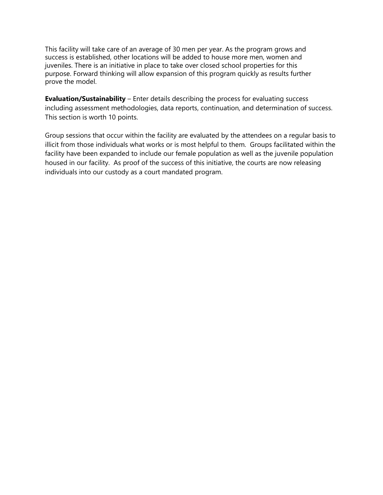This facility will take care of an average of 30 men per year. As the program grows and success is established, other locations will be added to house more men, women and juveniles. There is an initiative in place to take over closed school properties for this purpose. Forward thinking will allow expansion of this program quickly as results further prove the model.

**Evaluation/Sustainability** – Enter details describing the process for evaluating success including assessment methodologies, data reports, continuation, and determination of success. This section is worth 10 points.

Group sessions that occur within the facility are evaluated by the attendees on a regular basis to illicit from those individuals what works or is most helpful to them. Groups facilitated within the facility have been expanded to include our female population as well as the juvenile population housed in our facility. As proof of the success of this initiative, the courts are now releasing individuals into our custody as a court mandated program.